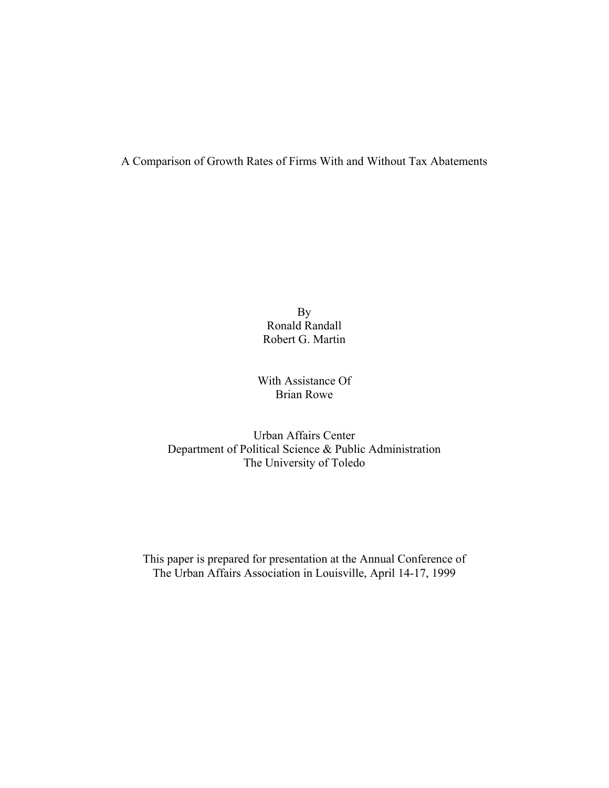A Comparison of Growth Rates of Firms With and Without Tax Abatements

By Ronald Randall Robert G. Martin

# With Assistance Of Brian Rowe

Urban Affairs Center Department of Political Science & Public Administration The University of Toledo

This paper is prepared for presentation at the Annual Conference of The Urban Affairs Association in Louisville, April 14-17, 1999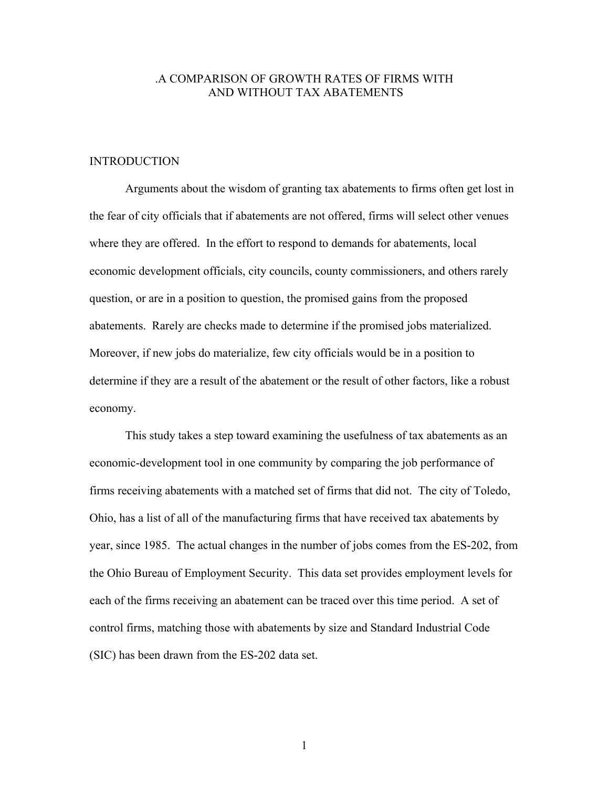# .A COMPARISON OF GROWTH RATES OF FIRMS WITH AND WITHOUT TAX ABATEMENTS

### INTRODUCTION

 Arguments about the wisdom of granting tax abatements to firms often get lost in the fear of city officials that if abatements are not offered, firms will select other venues where they are offered. In the effort to respond to demands for abatements, local economic development officials, city councils, county commissioners, and others rarely question, or are in a position to question, the promised gains from the proposed abatements. Rarely are checks made to determine if the promised jobs materialized. Moreover, if new jobs do materialize, few city officials would be in a position to determine if they are a result of the abatement or the result of other factors, like a robust economy.

 This study takes a step toward examining the usefulness of tax abatements as an economic-development tool in one community by comparing the job performance of firms receiving abatements with a matched set of firms that did not. The city of Toledo, Ohio, has a list of all of the manufacturing firms that have received tax abatements by year, since 1985. The actual changes in the number of jobs comes from the ES-202, from the Ohio Bureau of Employment Security. This data set provides employment levels for each of the firms receiving an abatement can be traced over this time period. A set of control firms, matching those with abatements by size and Standard Industrial Code (SIC) has been drawn from the ES-202 data set.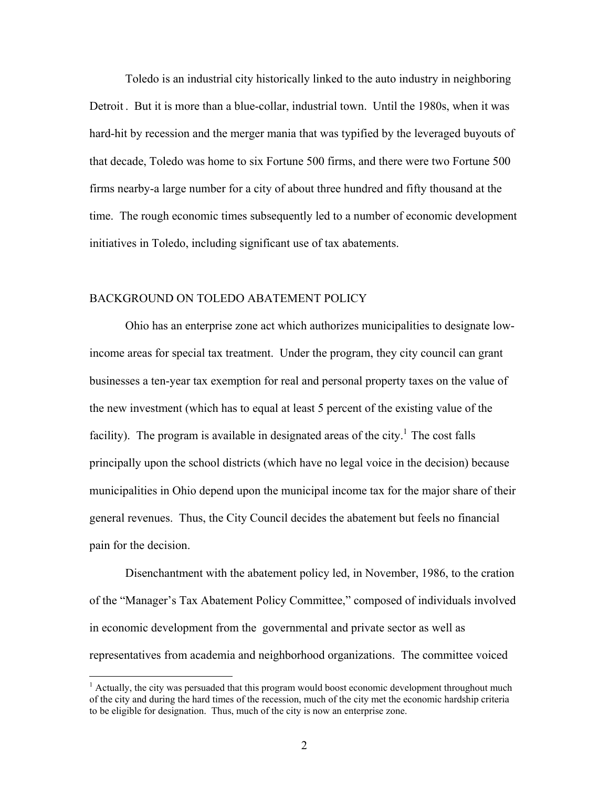Toledo is an industrial city historically linked to the auto industry in neighboring Detroit . But it is more than a blue-collar, industrial town. Until the 1980s, when it was hard-hit by recession and the merger mania that was typified by the leveraged buyouts of that decade, Toledo was home to six Fortune 500 firms, and there were two Fortune 500 firms nearby-a large number for a city of about three hundred and fifty thousand at the time. The rough economic times subsequently led to a number of economic development initiatives in Toledo, including significant use of tax abatements.

## BACKGROUND ON TOLEDO ABATEMENT POLICY

 $\overline{a}$ 

 Ohio has an enterprise zone act which authorizes municipalities to designate lowincome areas for special tax treatment. Under the program, they city council can grant businesses a ten-year tax exemption for real and personal property taxes on the value of the new investment (which has to equal at least 5 percent of the existing value of the facility). The program is available in designated areas of the city.<sup>1</sup> The cost falls principally upon the school districts (which have no legal voice in the decision) because municipalities in Ohio depend upon the municipal income tax for the major share of their general revenues. Thus, the City Council decides the abatement but feels no financial pain for the decision.

 Disenchantment with the abatement policy led, in November, 1986, to the cration of the "Manager's Tax Abatement Policy Committee," composed of individuals involved in economic development from the governmental and private sector as well as representatives from academia and neighborhood organizations. The committee voiced

<sup>&</sup>lt;sup>1</sup> Actually, the city was persuaded that this program would boost economic development throughout much of the city and during the hard times of the recession, much of the city met the economic hardship criteria to be eligible for designation. Thus, much of the city is now an enterprise zone.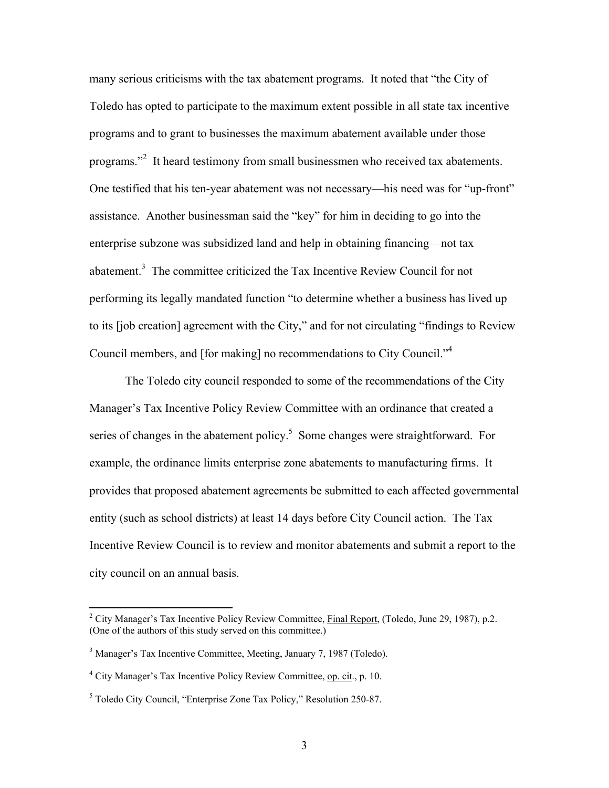many serious criticisms with the tax abatement programs. It noted that "the City of Toledo has opted to participate to the maximum extent possible in all state tax incentive programs and to grant to businesses the maximum abatement available under those programs."<sup>2</sup> It heard testimony from small businessmen who received tax abatements. One testified that his ten-year abatement was not necessary—his need was for "up-front" assistance. Another businessman said the "key" for him in deciding to go into the enterprise subzone was subsidized land and help in obtaining financing—not tax abatement.<sup>3</sup> The committee criticized the Tax Incentive Review Council for not performing its legally mandated function "to determine whether a business has lived up to its [job creation] agreement with the City," and for not circulating "findings to Review Council members, and [for making] no recommendations to City Council."<sup>4</sup>

 The Toledo city council responded to some of the recommendations of the City Manager's Tax Incentive Policy Review Committee with an ordinance that created a series of changes in the abatement policy.<sup>5</sup> Some changes were straightforward. For example, the ordinance limits enterprise zone abatements to manufacturing firms. It provides that proposed abatement agreements be submitted to each affected governmental entity (such as school districts) at least 14 days before City Council action. The Tax Incentive Review Council is to review and monitor abatements and submit a report to the city council on an annual basis.

 $\overline{a}$ 

<sup>&</sup>lt;sup>2</sup> City Manager's Tax Incentive Policy Review Committee, *Final Report*, (Toledo, June 29, 1987), p.2. (One of the authors of this study served on this committee.)

<sup>&</sup>lt;sup>3</sup> Manager's Tax Incentive Committee, Meeting, January 7, 1987 (Toledo).

<sup>&</sup>lt;sup>4</sup> City Manager's Tax Incentive Policy Review Committee, op. cit., p. 10.

<sup>&</sup>lt;sup>5</sup> Toledo City Council, "Enterprise Zone Tax Policy," Resolution 250-87.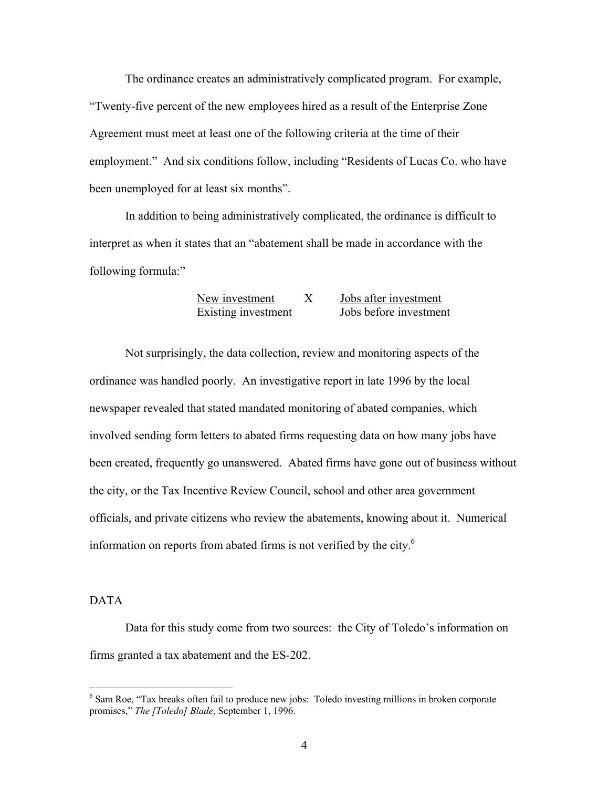The ordinance creates an administratively complicated program. For example, "Twenty-five percent of the new employees hired as a result of the Enterprise Zone Agreement must meet at least one of the following criteria at the time of their employment." And six conditions follow, including "Residents of Lucas Co. who have been unemployed for at least six months".

 In addition to being administratively complicated, the ordinance is difficult to interpret as when it states that an "abatement shall be made in accordance with the following formula:"

# New investment X Jobs after investment Existing investment Jobs before investment

 Not surprisingly, the data collection, review and monitoring aspects of the ordinance was handled poorly. An investigative report in late 1996 by the local newspaper revealed that stated mandated monitoring of abated companies, which involved sending form letters to abated firms requesting data on how many jobs have been created, frequently go unanswered. Abated firms have gone out of business without the city, or the Tax Incentive Review Council, school and other area government officials, and private citizens who review the abatements, knowing about it. Numerical information on reports from abated firms is not verified by the city. $6\%$ 

## DATA

 Data for this study come from two sources: the City of Toledo's information on firms granted a tax abatement and the ES-202.

<sup>&</sup>lt;sup>6</sup> Sam Roe, "Tax breaks often fail to produce new jobs: Toledo investing millions in broken corporate promises," *The [Toledo] Blade*, September 1, 1996.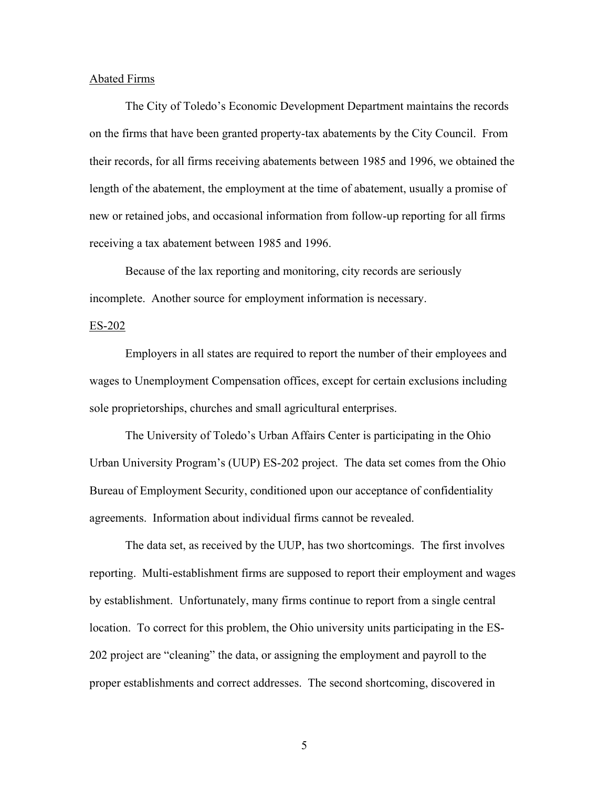### Abated Firms

 The City of Toledo's Economic Development Department maintains the records on the firms that have been granted property-tax abatements by the City Council. From their records, for all firms receiving abatements between 1985 and 1996, we obtained the length of the abatement, the employment at the time of abatement, usually a promise of new or retained jobs, and occasional information from follow-up reporting for all firms receiving a tax abatement between 1985 and 1996.

 Because of the lax reporting and monitoring, city records are seriously incomplete. Another source for employment information is necessary.

### ES-202

 Employers in all states are required to report the number of their employees and wages to Unemployment Compensation offices, except for certain exclusions including sole proprietorships, churches and small agricultural enterprises.

 The University of Toledo's Urban Affairs Center is participating in the Ohio Urban University Program's (UUP) ES-202 project. The data set comes from the Ohio Bureau of Employment Security, conditioned upon our acceptance of confidentiality agreements. Information about individual firms cannot be revealed.

 The data set, as received by the UUP, has two shortcomings. The first involves reporting. Multi-establishment firms are supposed to report their employment and wages by establishment. Unfortunately, many firms continue to report from a single central location. To correct for this problem, the Ohio university units participating in the ES-202 project are "cleaning" the data, or assigning the employment and payroll to the proper establishments and correct addresses. The second shortcoming, discovered in

 $\overline{5}$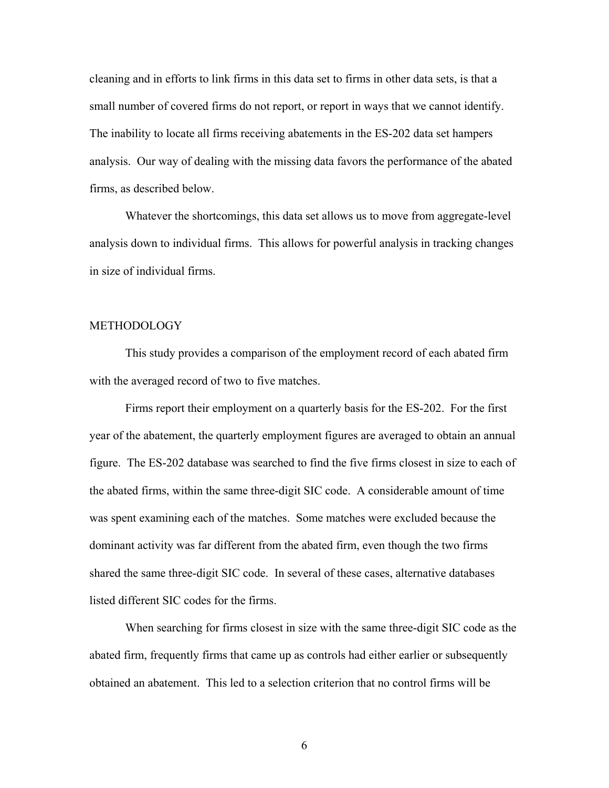cleaning and in efforts to link firms in this data set to firms in other data sets, is that a small number of covered firms do not report, or report in ways that we cannot identify. The inability to locate all firms receiving abatements in the ES-202 data set hampers analysis. Our way of dealing with the missing data favors the performance of the abated firms, as described below.

 Whatever the shortcomings, this data set allows us to move from aggregate-level analysis down to individual firms. This allows for powerful analysis in tracking changes in size of individual firms.

## **METHODOLOGY**

 This study provides a comparison of the employment record of each abated firm with the averaged record of two to five matches.

 Firms report their employment on a quarterly basis for the ES-202. For the first year of the abatement, the quarterly employment figures are averaged to obtain an annual figure. The ES-202 database was searched to find the five firms closest in size to each of the abated firms, within the same three-digit SIC code. A considerable amount of time was spent examining each of the matches. Some matches were excluded because the dominant activity was far different from the abated firm, even though the two firms shared the same three-digit SIC code. In several of these cases, alternative databases listed different SIC codes for the firms.

 When searching for firms closest in size with the same three-digit SIC code as the abated firm, frequently firms that came up as controls had either earlier or subsequently obtained an abatement. This led to a selection criterion that no control firms will be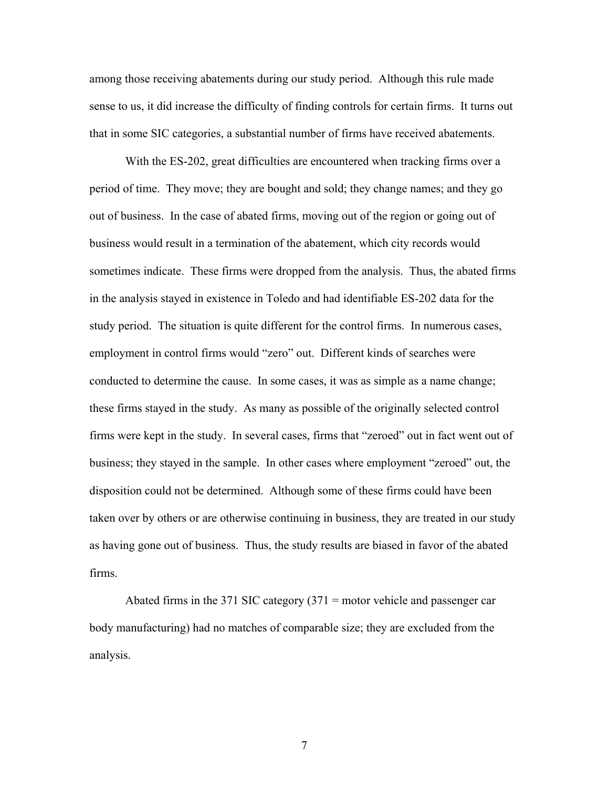among those receiving abatements during our study period. Although this rule made sense to us, it did increase the difficulty of finding controls for certain firms. It turns out that in some SIC categories, a substantial number of firms have received abatements.

 With the ES-202, great difficulties are encountered when tracking firms over a period of time. They move; they are bought and sold; they change names; and they go out of business. In the case of abated firms, moving out of the region or going out of business would result in a termination of the abatement, which city records would sometimes indicate. These firms were dropped from the analysis. Thus, the abated firms in the analysis stayed in existence in Toledo and had identifiable ES-202 data for the study period. The situation is quite different for the control firms. In numerous cases, employment in control firms would "zero" out. Different kinds of searches were conducted to determine the cause. In some cases, it was as simple as a name change; these firms stayed in the study. As many as possible of the originally selected control firms were kept in the study. In several cases, firms that "zeroed" out in fact went out of business; they stayed in the sample. In other cases where employment "zeroed" out, the disposition could not be determined. Although some of these firms could have been taken over by others or are otherwise continuing in business, they are treated in our study as having gone out of business. Thus, the study results are biased in favor of the abated firms.

Abated firms in the 371 SIC category  $(371 = \text{motor vehicle and passenger car})$ body manufacturing) had no matches of comparable size; they are excluded from the analysis.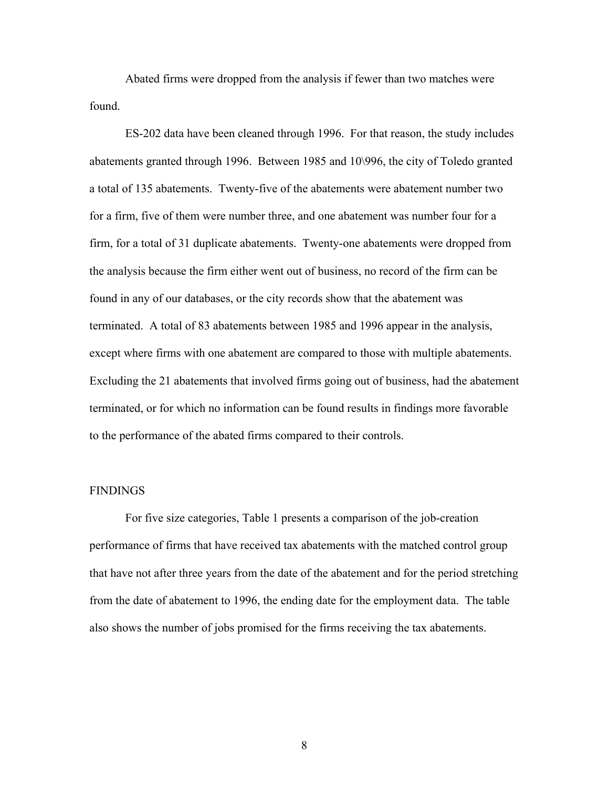Abated firms were dropped from the analysis if fewer than two matches were found.

 ES-202 data have been cleaned through 1996. For that reason, the study includes abatements granted through 1996. Between 1985 and 10\996, the city of Toledo granted a total of 135 abatements. Twenty-five of the abatements were abatement number two for a firm, five of them were number three, and one abatement was number four for a firm, for a total of 31 duplicate abatements. Twenty-one abatements were dropped from the analysis because the firm either went out of business, no record of the firm can be found in any of our databases, or the city records show that the abatement was terminated. A total of 83 abatements between 1985 and 1996 appear in the analysis, except where firms with one abatement are compared to those with multiple abatements. Excluding the 21 abatements that involved firms going out of business, had the abatement terminated, or for which no information can be found results in findings more favorable to the performance of the abated firms compared to their controls.

#### FINDINGS

 For five size categories, Table 1 presents a comparison of the job-creation performance of firms that have received tax abatements with the matched control group that have not after three years from the date of the abatement and for the period stretching from the date of abatement to 1996, the ending date for the employment data. The table also shows the number of jobs promised for the firms receiving the tax abatements.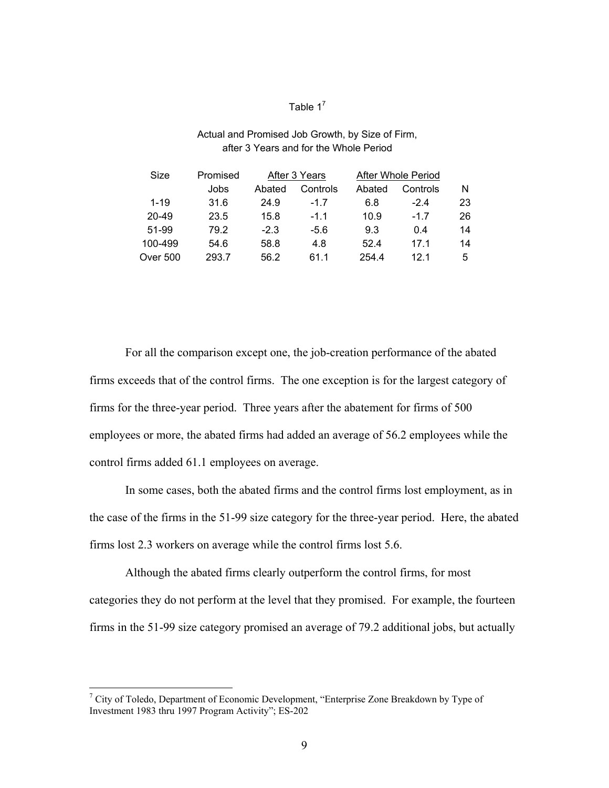# Table  $1^7$

# Actual and Promised Job Growth, by Size of Firm, after 3 Years and for the Whole Period

| Size            | Promised | After 3 Years |          | <b>After Whole Period</b> |          |    |
|-----------------|----------|---------------|----------|---------------------------|----------|----|
|                 | Jobs     | Abated        | Controls | Abated                    | Controls | N  |
| $1 - 19$        | 31.6     | 24.9          | $-17$    | 6.8                       | $-2.4$   | 23 |
| $20 - 49$       | 23.5     | 15.8          | $-1.1$   | 10.9                      | -17      | 26 |
| 51-99           | 79.2     | $-2.3$        | -5.6     | 9.3                       | 0.4      | 14 |
| 100-499         | 54.6     | 58.8          | 4.8      | 52.4                      | 171      | 14 |
| <b>Over 500</b> | 293.7    | 56.2          | 61 1     | 254.4                     | 121      | 5  |

 For all the comparison except one, the job-creation performance of the abated firms exceeds that of the control firms. The one exception is for the largest category of firms for the three-year period. Three years after the abatement for firms of 500 employees or more, the abated firms had added an average of 56.2 employees while the control firms added 61.1 employees on average.

 In some cases, both the abated firms and the control firms lost employment, as in the case of the firms in the 51-99 size category for the three-year period. Here, the abated firms lost 2.3 workers on average while the control firms lost 5.6.

 Although the abated firms clearly outperform the control firms, for most categories they do not perform at the level that they promised. For example, the fourteen firms in the 51-99 size category promised an average of 79.2 additional jobs, but actually

<sup>&</sup>lt;sup>7</sup> City of Toledo, Department of Economic Development, "Enterprise Zone Breakdown by Type of Investment 1983 thru 1997 Program Activity"; ES-202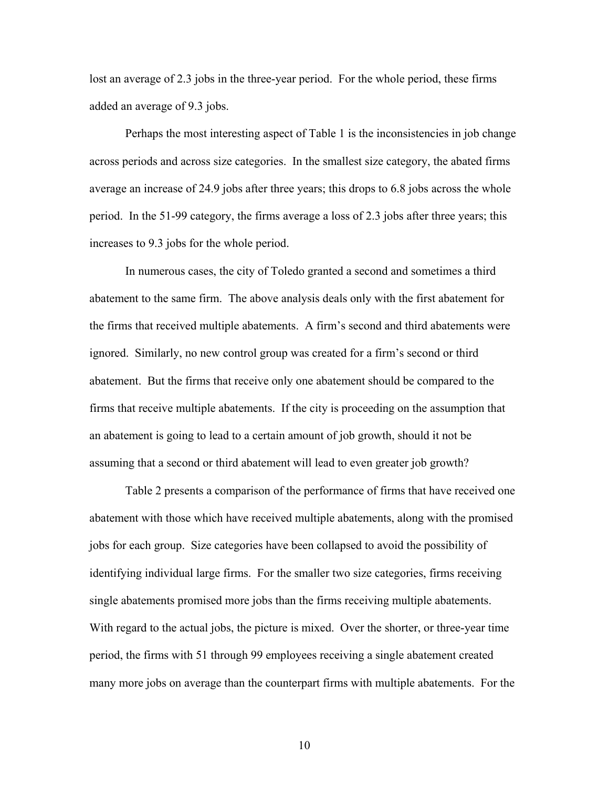lost an average of 2.3 jobs in the three-year period. For the whole period, these firms added an average of 9.3 jobs.

 Perhaps the most interesting aspect of Table 1 is the inconsistencies in job change across periods and across size categories. In the smallest size category, the abated firms average an increase of 24.9 jobs after three years; this drops to 6.8 jobs across the whole period. In the 51-99 category, the firms average a loss of 2.3 jobs after three years; this increases to 9.3 jobs for the whole period.

 In numerous cases, the city of Toledo granted a second and sometimes a third abatement to the same firm. The above analysis deals only with the first abatement for the firms that received multiple abatements. A firm's second and third abatements were ignored. Similarly, no new control group was created for a firm's second or third abatement. But the firms that receive only one abatement should be compared to the firms that receive multiple abatements. If the city is proceeding on the assumption that an abatement is going to lead to a certain amount of job growth, should it not be assuming that a second or third abatement will lead to even greater job growth?

 Table 2 presents a comparison of the performance of firms that have received one abatement with those which have received multiple abatements, along with the promised jobs for each group. Size categories have been collapsed to avoid the possibility of identifying individual large firms. For the smaller two size categories, firms receiving single abatements promised more jobs than the firms receiving multiple abatements. With regard to the actual jobs, the picture is mixed. Over the shorter, or three-year time period, the firms with 51 through 99 employees receiving a single abatement created many more jobs on average than the counterpart firms with multiple abatements. For the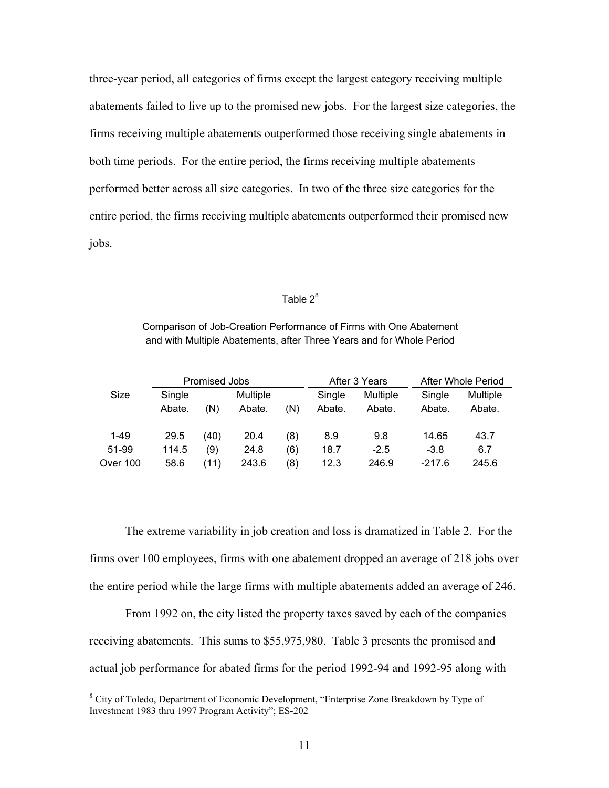three-year period, all categories of firms except the largest category receiving multiple abatements failed to live up to the promised new jobs. For the largest size categories, the firms receiving multiple abatements outperformed those receiving single abatements in both time periods. For the entire period, the firms receiving multiple abatements performed better across all size categories. In two of the three size categories for the entire period, the firms receiving multiple abatements outperformed their promised new jobs.

# Table  $2^8$

Comparison of Job-Creation Performance of Firms with One Abatement and with Multiple Abatements, after Three Years and for Whole Period

|          | Promised Jobs |      |          | After 3 Years |        | After Whole Period |          |          |
|----------|---------------|------|----------|---------------|--------|--------------------|----------|----------|
| Size     | Single        |      | Multiple |               | Single | Multiple           | Single   | Multiple |
|          | Abate.        | (N)  | Abate.   | (N)           | Abate. | Abate.             | Abate.   | Abate.   |
| $1 - 49$ | 29.5          | (40) | 20.4     | (8)           | 8.9    | 9.8                | 14.65    | 43.7     |
| 51-99    | 114.5         | (9)  | 24.8     | (6)           | 18.7   | $-2.5$             | $-3.8$   | 6.7      |
| Over 100 | 58.6          | (11) | 243.6    | (8)           | 12.3   | 246.9              | $-217.6$ | 245.6    |

 The extreme variability in job creation and loss is dramatized in Table 2. For the firms over 100 employees, firms with one abatement dropped an average of 218 jobs over the entire period while the large firms with multiple abatements added an average of 246.

 From 1992 on, the city listed the property taxes saved by each of the companies receiving abatements. This sums to \$55,975,980. Table 3 presents the promised and actual job performance for abated firms for the period 1992-94 and 1992-95 along with

<sup>&</sup>lt;sup>8</sup> City of Toledo, Department of Economic Development, "Enterprise Zone Breakdown by Type of Investment 1983 thru 1997 Program Activity"; ES-202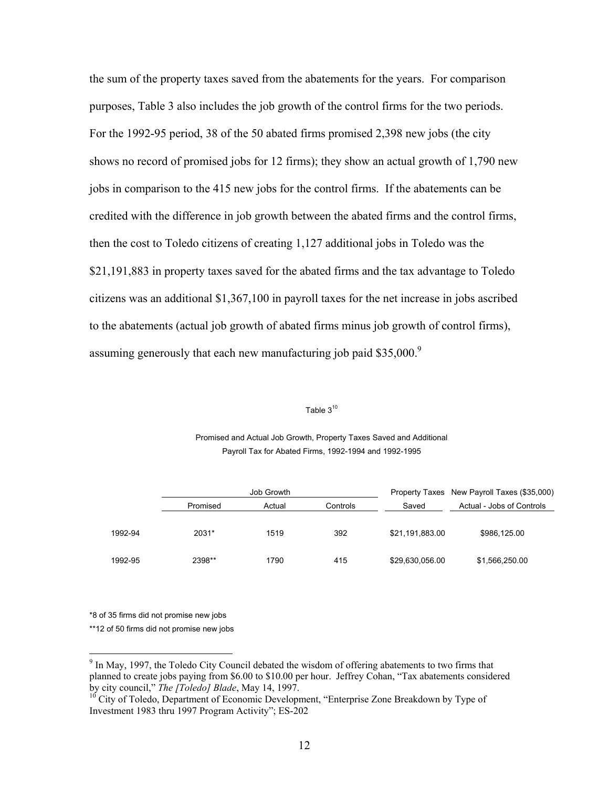the sum of the property taxes saved from the abatements for the years. For comparison purposes, Table 3 also includes the job growth of the control firms for the two periods. For the 1992-95 period, 38 of the 50 abated firms promised 2,398 new jobs (the city shows no record of promised jobs for 12 firms); they show an actual growth of 1,790 new jobs in comparison to the 415 new jobs for the control firms. If the abatements can be credited with the difference in job growth between the abated firms and the control firms, then the cost to Toledo citizens of creating 1,127 additional jobs in Toledo was the \$21,191,883 in property taxes saved for the abated firms and the tax advantage to Toledo citizens was an additional \$1,367,100 in payroll taxes for the net increase in jobs ascribed to the abatements (actual job growth of abated firms minus job growth of control firms), assuming generously that each new manufacturing job paid \$35,000.<sup>9</sup>

### Table  $3^{10}$

#### Promised and Actual Job Growth, Property Taxes Saved and Additional Payroll Tax for Abated Firms, 1992-1994 and 1992-1995

|         | Job Growth |        |          |                 | Property Taxes New Payroll Taxes (\$35,000) |  |
|---------|------------|--------|----------|-----------------|---------------------------------------------|--|
|         | Promised   | Actual | Controls | Saved           | Actual - Jobs of Controls                   |  |
|         |            |        |          |                 |                                             |  |
| 1992-94 | 2031*      | 1519   | 392      | \$21,191,883.00 | \$986,125.00                                |  |
|         |            |        |          |                 |                                             |  |
| 1992-95 | 2398**     | 1790   | 415      | \$29,630,056.00 | \$1,566,250.00                              |  |

\*8 of 35 firms did not promise new jobs

 $\overline{a}$ 

\*\*12 of 50 firms did not promise new jobs

<sup>&</sup>lt;sup>9</sup> In May, 1997, the Toledo City Council debated the wisdom of offering abatements to two firms that planned to create jobs paying from \$6.00 to \$10.00 per hour. Jeffrey Cohan, "Tax abatements considered by city council," *The [Toledo] Blade*, May 14, 1997.

<sup>&</sup>lt;sup>10</sup> City of Toledo, Department of Economic Development, "Enterprise Zone Breakdown by Type of Investment 1983 thru 1997 Program Activity"; ES-202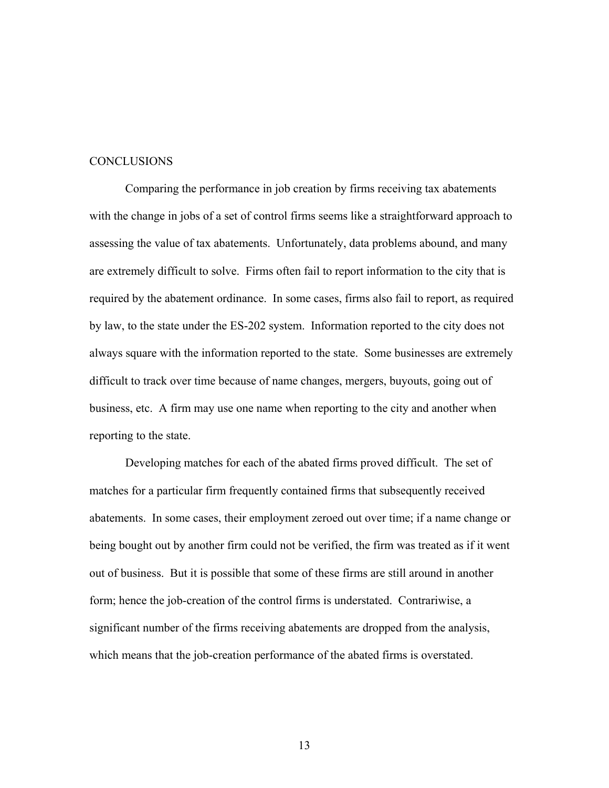#### **CONCLUSIONS**

 Comparing the performance in job creation by firms receiving tax abatements with the change in jobs of a set of control firms seems like a straightforward approach to assessing the value of tax abatements. Unfortunately, data problems abound, and many are extremely difficult to solve. Firms often fail to report information to the city that is required by the abatement ordinance. In some cases, firms also fail to report, as required by law, to the state under the ES-202 system. Information reported to the city does not always square with the information reported to the state. Some businesses are extremely difficult to track over time because of name changes, mergers, buyouts, going out of business, etc. A firm may use one name when reporting to the city and another when reporting to the state.

 Developing matches for each of the abated firms proved difficult. The set of matches for a particular firm frequently contained firms that subsequently received abatements. In some cases, their employment zeroed out over time; if a name change or being bought out by another firm could not be verified, the firm was treated as if it went out of business. But it is possible that some of these firms are still around in another form; hence the job-creation of the control firms is understated. Contrariwise, a significant number of the firms receiving abatements are dropped from the analysis, which means that the job-creation performance of the abated firms is overstated.